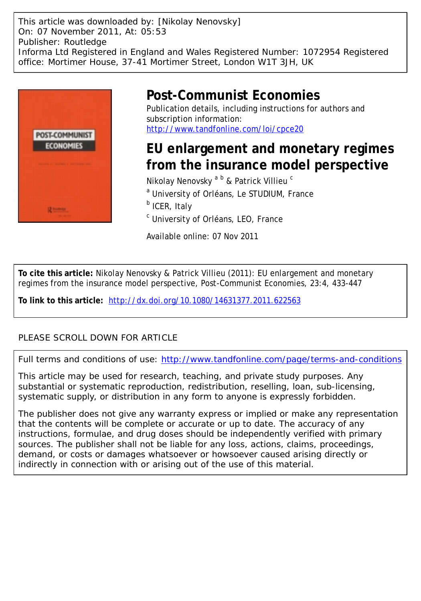This article was downloaded by: [Nikolay Nenovsky] On: 07 November 2011, At: 05:53 Publisher: Routledge Informa Ltd Registered in England and Wales Registered Number: 1072954 Registered office: Mortimer House, 37-41 Mortimer Street, London W1T 3JH, UK



# **Post-Communist Economies**

Publication details, including instructions for authors and subscription information: <http://www.tandfonline.com/loi/cpce20>

# **EU enlargement and monetary regimes from the insurance model perspective**

Nikolay Nenovsky <sup>a b</sup> & Patrick Villieu <sup>c</sup>

<sup>a</sup> University of Orléans, Le STUDIUM, France

<sup>b</sup> ICER, Italy

<sup>c</sup> University of Orléans, LEO, France

Available online: 07 Nov 2011

**To cite this article:** Nikolay Nenovsky & Patrick Villieu (2011): EU enlargement and monetary regimes from the insurance model perspective, Post-Communist Economies, 23:4, 433-447

**To link to this article:** <http://dx.doi.org/10.1080/14631377.2011.622563>

### PLEASE SCROLL DOWN FOR ARTICLE

Full terms and conditions of use:<http://www.tandfonline.com/page/terms-and-conditions>

This article may be used for research, teaching, and private study purposes. Any substantial or systematic reproduction, redistribution, reselling, loan, sub-licensing, systematic supply, or distribution in any form to anyone is expressly forbidden.

The publisher does not give any warranty express or implied or make any representation that the contents will be complete or accurate or up to date. The accuracy of any instructions, formulae, and drug doses should be independently verified with primary sources. The publisher shall not be liable for any loss, actions, claims, proceedings, demand, or costs or damages whatsoever or howsoever caused arising directly or indirectly in connection with or arising out of the use of this material.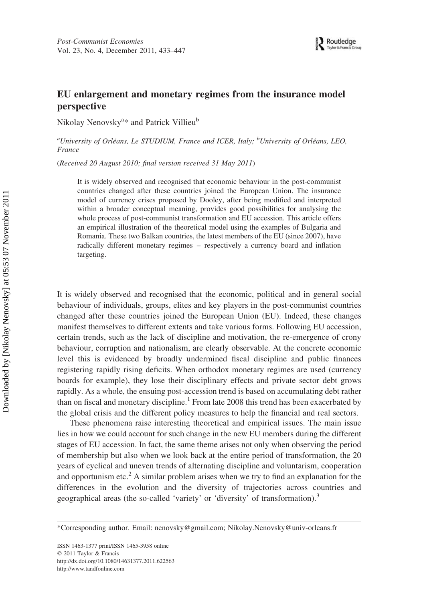### EU enlargement and monetary regimes from the insurance model perspective

Routledge Taylor & Francis Group

Nikolay Nenovsky<sup>a\*</sup> and Patrick Villieu<sup>b</sup>

<sup>a</sup>University of Orléans, Le STUDIUM, France and ICER, Italy; <sup>b</sup>University of Orléans, LEO, France

(Received 20 August 2010; final version received 31 May 2011)

It is widely observed and recognised that economic behaviour in the post-communist countries changed after these countries joined the European Union. The insurance model of currency crises proposed by Dooley, after being modified and interpreted within a broader conceptual meaning, provides good possibilities for analysing the whole process of post-communist transformation and EU accession. This article offers an empirical illustration of the theoretical model using the examples of Bulgaria and Romania. These two Balkan countries, the latest members of the EU (since 2007), have radically different monetary regimes – respectively a currency board and inflation targeting.

It is widely observed and recognised that the economic, political and in general social behaviour of individuals, groups, elites and key players in the post-communist countries changed after these countries joined the European Union (EU). Indeed, these changes manifest themselves to different extents and take various forms. Following EU accession, certain trends, such as the lack of discipline and motivation, the re-emergence of crony behaviour, corruption and nationalism, are clearly observable. At the concrete economic level this is evidenced by broadly undermined fiscal discipline and public finances registering rapidly rising deficits. When orthodox monetary regimes are used (currency boards for example), they lose their disciplinary effects and private sector debt grows rapidly. As a whole, the ensuing post-accession trend is based on accumulating debt rather than on fiscal and monetary discipline.<sup>1</sup> From late 2008 this trend has been exacerbated by the global crisis and the different policy measures to help the financial and real sectors.

These phenomena raise interesting theoretical and empirical issues. The main issue lies in how we could account for such change in the new EU members during the different stages of EU accession. In fact, the same theme arises not only when observing the period of membership but also when we look back at the entire period of transformation, the 20 years of cyclical and uneven trends of alternating discipline and voluntarism, cooperation and opportunism etc.<sup>2</sup> A similar problem arises when we try to find an explanation for the differences in the evolution and the diversity of trajectories across countries and geographical areas (the so-called 'variety' or 'diversity' of transformation).<sup>3</sup>

ISSN 1463-1377 print/ISSN 1465-3958 online  $© 2011 Taylor & Francis$ <http://dx.doi.org/10.1080/14631377.2011.622563> <http://www.tandfonline.com>

<sup>\*</sup>Corresponding author. Email: nenovsky@gmail.com; Nikolay.Nenovsky@univ-orleans.fr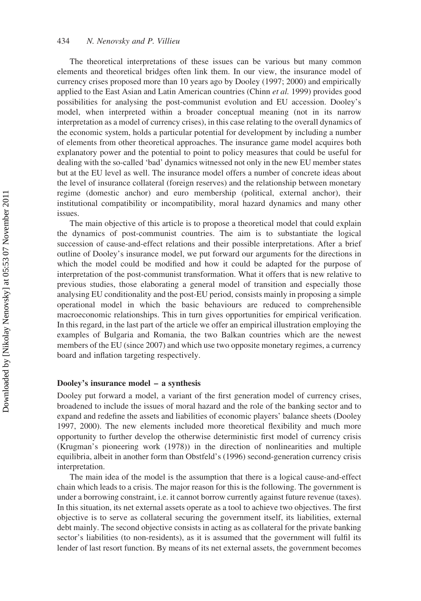The theoretical interpretations of these issues can be various but many common elements and theoretical bridges often link them. In our view, the insurance model of currency crises proposed more than 10 years ago by Dooley (1997; 2000) and empirically applied to the East Asian and Latin American countries (Chinn et al. 1999) provides good possibilities for analysing the post-communist evolution and EU accession. Dooley's model, when interpreted within a broader conceptual meaning (not in its narrow interpretation as a model of currency crises), in this case relating to the overall dynamics of the economic system, holds a particular potential for development by including a number of elements from other theoretical approaches. The insurance game model acquires both explanatory power and the potential to point to policy measures that could be useful for dealing with the so-called 'bad' dynamics witnessed not only in the new EU member states but at the EU level as well. The insurance model offers a number of concrete ideas about the level of insurance collateral (foreign reserves) and the relationship between monetary regime (domestic anchor) and euro membership (political, external anchor), their institutional compatibility or incompatibility, moral hazard dynamics and many other issues.

The main objective of this article is to propose a theoretical model that could explain the dynamics of post-communist countries. The aim is to substantiate the logical succession of cause-and-effect relations and their possible interpretations. After a brief outline of Dooley's insurance model, we put forward our arguments for the directions in which the model could be modified and how it could be adapted for the purpose of interpretation of the post-communist transformation. What it offers that is new relative to previous studies, those elaborating a general model of transition and especially those analysing EU conditionality and the post-EU period, consists mainly in proposing a simple operational model in which the basic behaviours are reduced to comprehensible macroeconomic relationships. This in turn gives opportunities for empirical verification. In this regard, in the last part of the article we offer an empirical illustration employing the examples of Bulgaria and Romania, the two Balkan countries which are the newest members of the EU (since 2007) and which use two opposite monetary regimes, a currency board and inflation targeting respectively.

#### Dooley's insurance model – a synthesis

Dooley put forward a model, a variant of the first generation model of currency crises, broadened to include the issues of moral hazard and the role of the banking sector and to expand and redefine the assets and liabilities of economic players' balance sheets (Dooley 1997, 2000). The new elements included more theoretical flexibility and much more opportunity to further develop the otherwise deterministic first model of currency crisis (Krugman's pioneering work (1978)) in the direction of nonlinearities and multiple equilibria, albeit in another form than Obstfeld's (1996) second-generation currency crisis interpretation.

The main idea of the model is the assumption that there is a logical cause-and-effect chain which leads to a crisis. The major reason for this is the following. The government is under a borrowing constraint, i.e. it cannot borrow currently against future revenue (taxes). In this situation, its net external assets operate as a tool to achieve two objectives. The first objective is to serve as collateral securing the government itself, its liabilities, external debt mainly. The second objective consists in acting as as collateral for the private banking sector's liabilities (to non-residents), as it is assumed that the government will fulfil its lender of last resort function. By means of its net external assets, the government becomes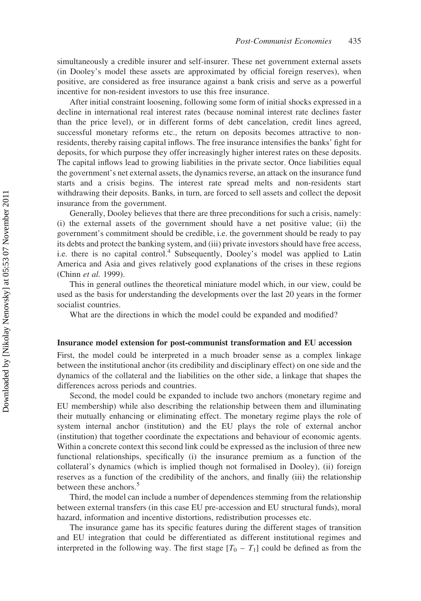simultaneously a credible insurer and self-insurer. These net government external assets (in Dooley's model these assets are approximated by official foreign reserves), when positive, are considered as free insurance against a bank crisis and serve as a powerful incentive for non-resident investors to use this free insurance.

After initial constraint loosening, following some form of initial shocks expressed in a decline in international real interest rates (because nominal interest rate declines faster than the price level), or in different forms of debt cancelation, credit lines agreed, successful monetary reforms etc., the return on deposits becomes attractive to nonresidents, thereby raising capital inflows. The free insurance intensifies the banks' fight for deposits, for which purpose they offer increasingly higher interest rates on these deposits. The capital inflows lead to growing liabilities in the private sector. Once liabilities equal the government's net external assets, the dynamics reverse, an attack on the insurance fund starts and a crisis begins. The interest rate spread melts and non-residents start withdrawing their deposits. Banks, in turn, are forced to sell assets and collect the deposit insurance from the government.

Generally, Dooley believes that there are three preconditions for such a crisis, namely: (i) the external assets of the government should have a net positive value; (ii) the government's commitment should be credible, i.e. the government should be ready to pay its debts and protect the banking system, and (iii) private investors should have free access, i.e. there is no capital control.<sup>4</sup> Subsequently, Dooley's model was applied to Latin America and Asia and gives relatively good explanations of the crises in these regions (Chinn et al. 1999).

This in general outlines the theoretical miniature model which, in our view, could be used as the basis for understanding the developments over the last 20 years in the former socialist countries.

What are the directions in which the model could be expanded and modified?

#### Insurance model extension for post-communist transformation and EU accession

First, the model could be interpreted in a much broader sense as a complex linkage between the institutional anchor (its credibility and disciplinary effect) on one side and the dynamics of the collateral and the liabilities on the other side, a linkage that shapes the differences across periods and countries.

Second, the model could be expanded to include two anchors (monetary regime and EU membership) while also describing the relationship between them and illuminating their mutually enhancing or eliminating effect. The monetary regime plays the role of system internal anchor (institution) and the EU plays the role of external anchor (institution) that together coordinate the expectations and behaviour of economic agents. Within a concrete context this second link could be expressed as the inclusion of three new functional relationships, specifically (i) the insurance premium as a function of the collateral's dynamics (which is implied though not formalised in Dooley), (ii) foreign reserves as a function of the credibility of the anchors, and finally (iii) the relationship between these anchors.<sup>5</sup>

Third, the model can include a number of dependences stemming from the relationship between external transfers (in this case EU pre-accession and EU structural funds), moral hazard, information and incentive distortions, redistribution processes etc.

The insurance game has its specific features during the different stages of transition and EU integration that could be differentiated as different institutional regimes and interpreted in the following way. The first stage  $[T_0 - T_1]$  could be defined as from the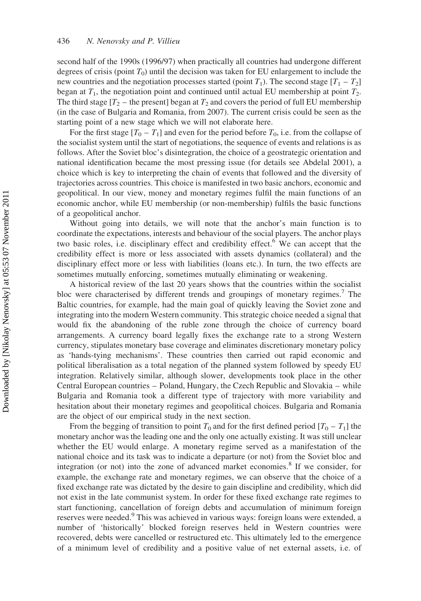second half of the 1990s (1996/97) when practically all countries had undergone different degrees of crisis (point  $T_0$ ) until the decision was taken for EU enlargement to include the new countries and the negotiation processes started (point  $T_1$ ). The second stage  $[T_1 - T_2]$ began at  $T_1$ , the negotiation point and continued until actual EU membership at point  $T_2$ . The third stage  $[T_2 -$  the present] began at  $T_2$  and covers the period of full EU membership (in the case of Bulgaria and Romania, from 2007). The current crisis could be seen as the starting point of a new stage which we will not elaborate here.

For the first stage  $[T_0 - T_1]$  and even for the period before  $T_0$ , i.e. from the collapse of the socialist system until the start of negotiations, the sequence of events and relations is as follows. After the Soviet bloc's disintegration, the choice of a geostrategic orientation and national identification became the most pressing issue (for details see Abdelal 2001), a choice which is key to interpreting the chain of events that followed and the diversity of trajectories across countries. This choice is manifested in two basic anchors, economic and geopolitical. In our view, money and monetary regimes fulfil the main functions of an economic anchor, while EU membership (or non-membership) fulfils the basic functions of a geopolitical anchor.

Without going into details, we will note that the anchor's main function is to coordinate the expectations, interests and behaviour of the social players. The anchor plays two basic roles, i.e. disciplinary effect and credibility effect.<sup>6</sup> We can accept that the credibility effect is more or less associated with assets dynamics (collateral) and the disciplinary effect more or less with liabilities (loans etc.). In turn, the two effects are sometimes mutually enforcing, sometimes mutually eliminating or weakening.

A historical review of the last 20 years shows that the countries within the socialist bloc were characterised by different trends and groupings of monetary regimes.<sup>7</sup> The Baltic countries, for example, had the main goal of quickly leaving the Soviet zone and integrating into the modern Western community. This strategic choice needed a signal that would fix the abandoning of the ruble zone through the choice of currency board arrangements. A currency board legally fixes the exchange rate to a strong Western currency, stipulates monetary base coverage and eliminates discretionary monetary policy as 'hands-tying mechanisms'. These countries then carried out rapid economic and political liberalisation as a total negation of the planned system followed by speedy EU integration. Relatively similar, although slower, developments took place in the other Central European countries – Poland, Hungary, the Czech Republic and Slovakia – while Bulgaria and Romania took a different type of trajectory with more variability and hesitation about their monetary regimes and geopolitical choices. Bulgaria and Romania are the object of our empirical study in the next section.

From the begging of transition to point  $T_0$  and for the first defined period  $[T_0 - T_1]$  the monetary anchor was the leading one and the only one actually existing. It was still unclear whether the EU would enlarge. A monetary regime served as a manifestation of the national choice and its task was to indicate a departure (or not) from the Soviet bloc and integration (or not) into the zone of advanced market economies.<sup>8</sup> If we consider, for example, the exchange rate and monetary regimes, we can observe that the choice of a fixed exchange rate was dictated by the desire to gain discipline and credibility, which did not exist in the late communist system. In order for these fixed exchange rate regimes to start functioning, cancellation of foreign debts and accumulation of minimum foreign reserves were needed.<sup>9</sup> This was achieved in various ways: foreign loans were extended, a number of 'historically' blocked foreign reserves held in Western countries were recovered, debts were cancelled or restructured etc. This ultimately led to the emergence of a minimum level of credibility and a positive value of net external assets, i.e. of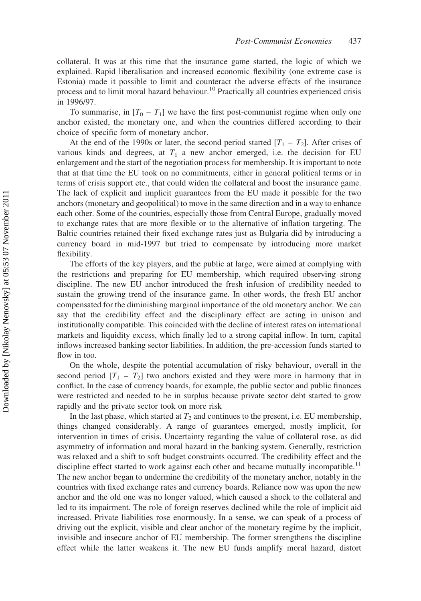collateral. It was at this time that the insurance game started, the logic of which we explained. Rapid liberalisation and increased economic flexibility (one extreme case is Estonia) made it possible to limit and counteract the adverse effects of the insurance process and to limit moral hazard behaviour.<sup>10</sup> Practically all countries experienced crisis in 1996/97.

To summarise, in  $[T_0 - T_1]$  we have the first post-communist regime when only one anchor existed, the monetary one, and when the countries differed according to their choice of specific form of monetary anchor.

At the end of the 1990s or later, the second period started  $[T_1 - T_2]$ . After crises of various kinds and degrees, at  $T_1$  a new anchor emerged, i.e. the decision for EU enlargement and the start of the negotiation process for membership. It is important to note that at that time the EU took on no commitments, either in general political terms or in terms of crisis support etc., that could widen the collateral and boost the insurance game. The lack of explicit and implicit guarantees from the EU made it possible for the two anchors (monetary and geopolitical) to move in the same direction and in a way to enhance each other. Some of the countries, especially those from Central Europe, gradually moved to exchange rates that are more flexible or to the alternative of inflation targeting. The Baltic countries retained their fixed exchange rates just as Bulgaria did by introducing a currency board in mid-1997 but tried to compensate by introducing more market flexibility.

The efforts of the key players, and the public at large, were aimed at complying with the restrictions and preparing for EU membership, which required observing strong discipline. The new EU anchor introduced the fresh infusion of credibility needed to sustain the growing trend of the insurance game. In other words, the fresh EU anchor compensated for the diminishing marginal importance of the old monetary anchor. We can say that the credibility effect and the disciplinary effect are acting in unison and institutionally compatible. This coincided with the decline of interest rates on international markets and liquidity excess, which finally led to a strong capital inflow. In turn, capital inflows increased banking sector liabilities. In addition, the pre-accession funds started to flow in too.

On the whole, despite the potential accumulation of risky behaviour, overall in the second period  $[T_1 - T_2]$  two anchors existed and they were more in harmony that in conflict. In the case of currency boards, for example, the public sector and public finances were restricted and needed to be in surplus because private sector debt started to grow rapidly and the private sector took on more risk

In the last phase, which started at  $T_2$  and continues to the present, i.e. EU membership, things changed considerably. A range of guarantees emerged, mostly implicit, for intervention in times of crisis. Uncertainty regarding the value of collateral rose, as did asymmetry of information and moral hazard in the banking system. Generally, restriction was relaxed and a shift to soft budget constraints occurred. The credibility effect and the discipline effect started to work against each other and became mutually incompatible.<sup>11</sup> The new anchor began to undermine the credibility of the monetary anchor, notably in the countries with fixed exchange rates and currency boards. Reliance now was upon the new anchor and the old one was no longer valued, which caused a shock to the collateral and led to its impairment. The role of foreign reserves declined while the role of implicit aid increased. Private liabilities rose enormously. In a sense, we can speak of a process of driving out the explicit, visible and clear anchor of the monetary regime by the implicit, invisible and insecure anchor of EU membership. The former strengthens the discipline effect while the latter weakens it. The new EU funds amplify moral hazard, distort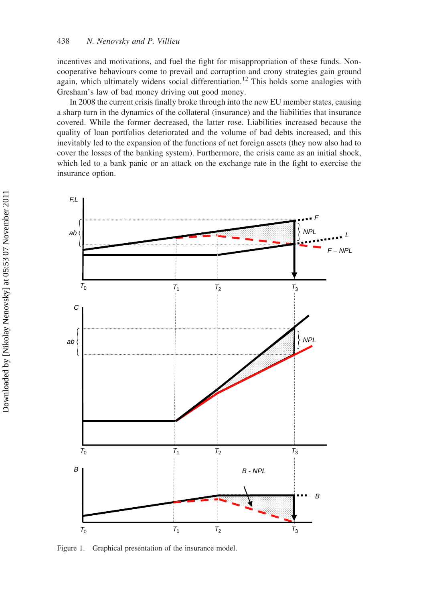incentives and motivations, and fuel the fight for misappropriation of these funds. Noncooperative behaviours come to prevail and corruption and crony strategies gain ground again, which ultimately widens social differentiation.<sup>12</sup> This holds some analogies with Gresham's law of bad money driving out good money.

In 2008 the current crisis finally broke through into the new EU member states, causing a sharp turn in the dynamics of the collateral (insurance) and the liabilities that insurance covered. While the former decreased, the latter rose. Liabilities increased because the quality of loan portfolios deteriorated and the volume of bad debts increased, and this inevitably led to the expansion of the functions of net foreign assets (they now also had to cover the losses of the banking system). Furthermore, the crisis came as an initial shock, which led to a bank panic or an attack on the exchange rate in the fight to exercise the insurance option.



Figure 1. Graphical presentation of the insurance model.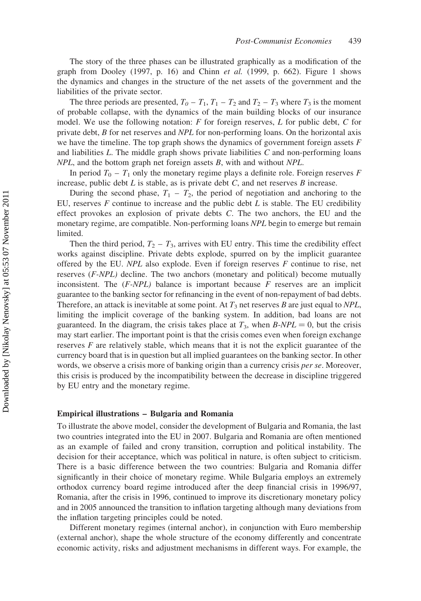The story of the three phases can be illustrated graphically as a modification of the graph from Dooley  $(1997, p. 16)$  and Chinn *et al.*  $(1999, p. 662)$ . Figure 1 shows the dynamics and changes in the structure of the net assets of the government and the liabilities of the private sector.

The three periods are presented,  $T_0 - T_1$ ,  $T_1 - T_2$  and  $T_2 - T_3$  where  $T_3$  is the moment of probable collapse, with the dynamics of the main building blocks of our insurance model. We use the following notation:  $F$  for foreign reserves,  $L$  for public debt,  $C$  for private debt, B for net reserves and NPL for non-performing loans. On the horizontal axis we have the timeline. The top graph shows the dynamics of government foreign assets  $F$ and liabilities  $L$ . The middle graph shows private liabilities  $C$  and non-performing loans NPL, and the bottom graph net foreign assets B, with and without NPL.

In period  $T_0 - T_1$  only the monetary regime plays a definite role. Foreign reserves F increase, public debt  $L$  is stable, as is private debt  $C$ , and net reserves  $B$  increase.

During the second phase,  $T_1 - T_2$ , the period of negotiation and anchoring to the EU, reserves  $F$  continue to increase and the public debt  $L$  is stable. The EU credibility effect provokes an explosion of private debts C. The two anchors, the EU and the monetary regime, are compatible. Non-performing loans NPL begin to emerge but remain limited.

Then the third period,  $T_2 - T_3$ , arrives with EU entry. This time the credibility effect works against discipline. Private debts explode, spurred on by the implicit guarantee offered by the EU.  $NPL$  also explode. Even if foreign reserves  $F$  continue to rise, net reserves  $(F-NPL)$  decline. The two anchors (monetary and political) become mutually inconsistent. The  $(F-NPL)$  balance is important because F reserves are an implicit guarantee to the banking sector for refinancing in the event of non-repayment of bad debts. Therefore, an attack is inevitable at some point. At  $T_3$  net reserves B are just equal to NPL, limiting the implicit coverage of the banking system. In addition, bad loans are not guaranteed. In the diagram, the crisis takes place at  $T_3$ , when  $B-NPL = 0$ , but the crisis may start earlier. The important point is that the crisis comes even when foreign exchange reserves  $F$  are relatively stable, which means that it is not the explicit guarantee of the currency board that is in question but all implied guarantees on the banking sector. In other words, we observe a crisis more of banking origin than a currency crisis per se. Moreover, this crisis is produced by the incompatibility between the decrease in discipline triggered by EU entry and the monetary regime.

#### Empirical illustrations – Bulgaria and Romania

To illustrate the above model, consider the development of Bulgaria and Romania, the last two countries integrated into the EU in 2007. Bulgaria and Romania are often mentioned as an example of failed and crony transition, corruption and political instability. The decision for their acceptance, which was political in nature, is often subject to criticism. There is a basic difference between the two countries: Bulgaria and Romania differ significantly in their choice of monetary regime. While Bulgaria employs an extremely orthodox currency board regime introduced after the deep financial crisis in 1996/97, Romania, after the crisis in 1996, continued to improve its discretionary monetary policy and in 2005 announced the transition to inflation targeting although many deviations from the inflation targeting principles could be noted.

Different monetary regimes (internal anchor), in conjunction with Euro membership (external anchor), shape the whole structure of the economy differently and concentrate economic activity, risks and adjustment mechanisms in different ways. For example, the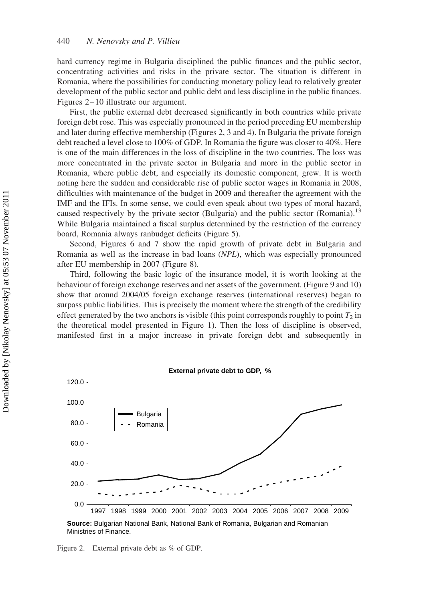hard currency regime in Bulgaria disciplined the public finances and the public sector, concentrating activities and risks in the private sector. The situation is different in Romania, where the possibilities for conducting monetary policy lead to relatively greater development of the public sector and public debt and less discipline in the public finances. Figures 2– 10 illustrate our argument.

First, the public external debt decreased significantly in both countries while private foreign debt rose. This was especially pronounced in the period preceding EU membership and later during effective membership (Figures 2, 3 and 4). In Bulgaria the private foreign debt reached a level close to 100% of GDP. In Romania the figure was closer to 40%. Here is one of the main differences in the loss of discipline in the two countries. The loss was more concentrated in the private sector in Bulgaria and more in the public sector in Romania, where public debt, and especially its domestic component, grew. It is worth noting here the sudden and considerable rise of public sector wages in Romania in 2008, difficulties with maintenance of the budget in 2009 and thereafter the agreement with the IMF and the IFIs. In some sense, we could even speak about two types of moral hazard, caused respectively by the private sector (Bulgaria) and the public sector (Romania).<sup>13</sup> While Bulgaria maintained a fiscal surplus determined by the restriction of the currency board, Romania always ranbudget deficits (Figure 5).

Second, Figures 6 and 7 show the rapid growth of private debt in Bulgaria and Romania as well as the increase in bad loans (NPL), which was especially pronounced after EU membership in 2007 (Figure 8).

Third, following the basic logic of the insurance model, it is worth looking at the behaviour of foreign exchange reserves and net assets of the government. (Figure 9 and 10) show that around 2004/05 foreign exchange reserves (international reserves) began to surpass public liabilities. This is precisely the moment where the strength of the credibility effect generated by the two anchors is visible (this point corresponds roughly to point  $T_2$  in the theoretical model presented in Figure 1). Then the loss of discipline is observed, manifested first in a major increase in private foreign debt and subsequently in



**Source:** Bulgarian National Bank, National Bank of Romania, Bulgarian and Romanian Ministries of Finance.

Figure 2. External private debt as % of GDP.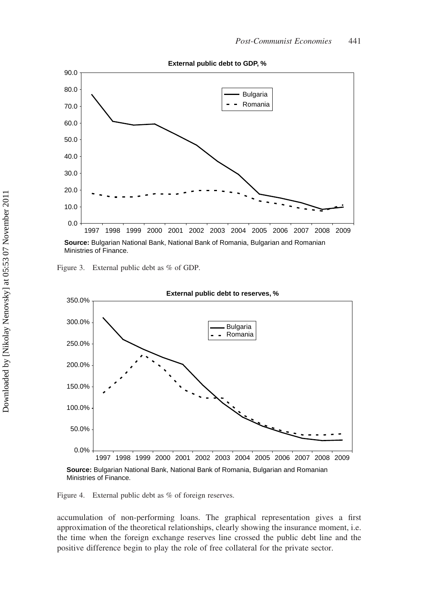





**Source:** Bulgarian National Bank, National Bank of Romania, Bulgarian and Romanian Ministries of Finance.

Figure 4. External public debt as % of foreign reserves.

accumulation of non-performing loans. The graphical representation gives a first approximation of the theoretical relationships, clearly showing the insurance moment, i.e. the time when the foreign exchange reserves line crossed the public debt line and the positive difference begin to play the role of free collateral for the private sector.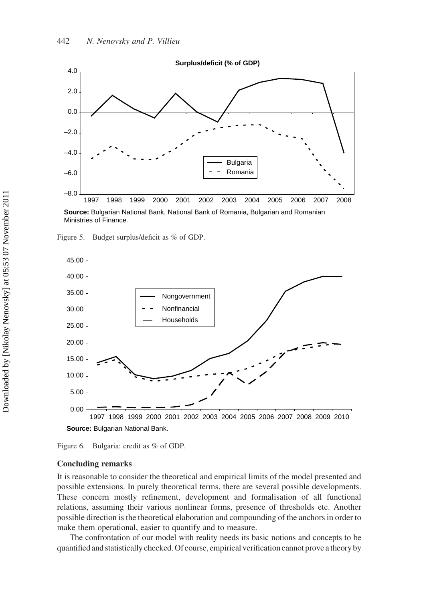

Ministries of Finance.



Figure 5. Budget surplus/deficit as % of GDP.

**Source:** Bulgarian National Bank.

#### Concluding remarks

It is reasonable to consider the theoretical and empirical limits of the model presented and possible extensions. In purely theoretical terms, there are several possible developments. These concern mostly refinement, development and formalisation of all functional relations, assuming their various nonlinear forms, presence of thresholds etc. Another possible direction is the theoretical elaboration and compounding of the anchors in order to make them operational, easier to quantify and to measure.

The confrontation of our model with reality needs its basic notions and concepts to be quantified and statistically checked. Of course, empirical verification cannot prove a theory by

Figure 6. Bulgaria: credit as % of GDP.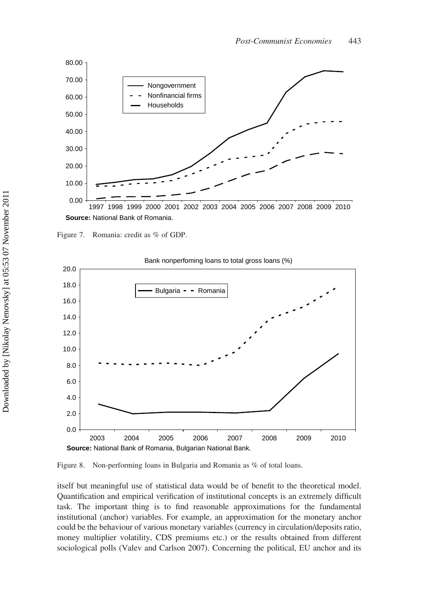

Figure 7. Romania: credit as % of GDP.



Figure 8. Non-performing loans in Bulgaria and Romania as % of total loans.

itself but meaningful use of statistical data would be of benefit to the theoretical model. Quantification and empirical verification of institutional concepts is an extremely difficult task. The important thing is to find reasonable approximations for the fundamental institutional (anchor) variables. For example, an approximation for the monetary anchor could be the behaviour of various monetary variables (currency in circulation/deposits ratio, money multiplier volatility, CDS premiums etc.) or the results obtained from different sociological polls (Valev and Carlson 2007). Concerning the political, EU anchor and its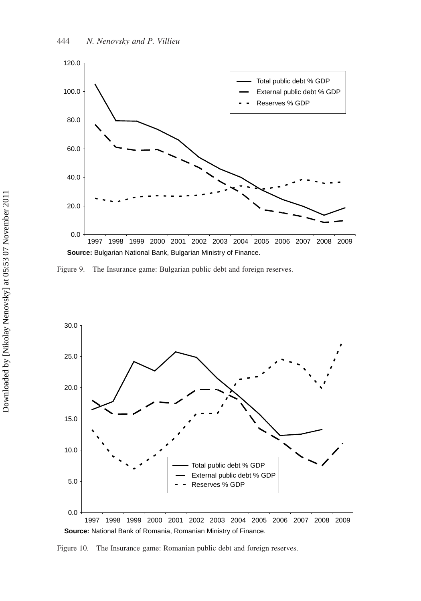

Figure 9. The Insurance game: Bulgarian public debt and foreign reserves.



Figure 10. The Insurance game: Romanian public debt and foreign reserves.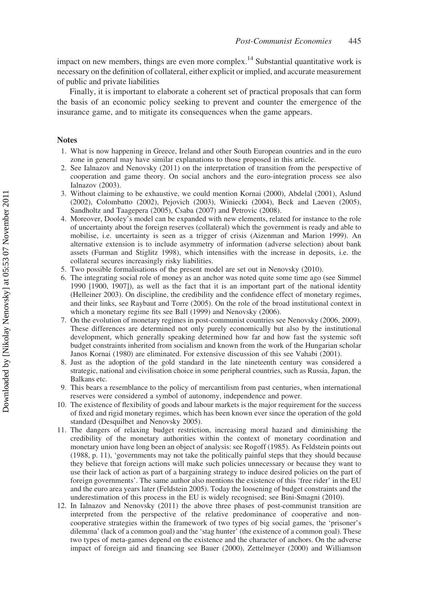impact on new members, things are even more complex.<sup>14</sup> Substantial quantitative work is necessary on the definition of collateral, either explicit or implied, and accurate measurement of public and private liabilities

Finally, it is important to elaborate a coherent set of practical proposals that can form the basis of an economic policy seeking to prevent and counter the emergence of the insurance game, and to mitigate its consequences when the game appears.

#### Notes

- What is now happening in Greece, Ireland and other South European countries and in the euro zone in general may have similar explanations to those proposed in this article.
- 2. See Ialnazov and Nenovsky (2011) on the interpretation of transition from the perspective of cooperation and game theory. On social anchors and the euro-integration process see also Ialnazov (2003).
- 3. Without claiming to be exhaustive, we could mention Kornai (2000), Abdelal (2001), Aslund (2002), Colombatto (2002), Pejovich (2003), Winiecki (2004), Beck and Laeven (2005), Sandholtz and Taagepera (2005), Csaba (2007) and Petrovic (2008).
- 4. Moreover, Dooley's model can be expanded with new elements, related for instance to the role of uncertainty about the foreign reserves (collateral) which the government is ready and able to mobilise, i.e. uncertainty is seen as a trigger of crisis (Aizenman and Marion 1999). An alternative extension is to include asymmetry of information (adverse selection) about bank assets (Furman and Stiglitz 1998), which intensifies with the increase in deposits, i.e. the collateral secures increasingly risky liabilities.
- 5. Two possible formalisations of the present model are set out in Nenovsky (2010).
- 6. The integrating social role of money as an anchor was noted quite some time ago (see Simmel 1990 [1900, 1907]), as well as the fact that it is an important part of the national identity (Helleiner 2003). On discipline, the credibility and the confidence effect of monetary regimes, and their links, see Raybaut and Torre (2005). On the role of the broad institutional context in which a monetary regime fits see Ball (1999) and Nenovsky (2006).
- 7. On the evolution of monetary regimes in post-communist countries see Nenovsky (2006, 2009). These differences are determined not only purely economically but also by the institutional development, which generally speaking determined how far and how fast the systemic soft budget constraints inherited from socialism and known from the work of the Hungarian scholar Janos Kornai (1980) are eliminated. For extensive discussion of this see Vahabi (2001).
- 8. Just as the adoption of the gold standard in the late nineteenth century was considered a strategic, national and civilisation choice in some peripheral countries, such as Russia, Japan, the Balkans etc.
- 9. This bears a resemblance to the policy of mercantilism from past centuries, when international reserves were considered a symbol of autonomy, independence and power.
- 10. The existence of flexibility of goods and labour markets is the major requirement for the success of fixed and rigid monetary regimes, which has been known ever since the operation of the gold standard (Desquilbet and Nenovsky 2005).
- 11. The dangers of relaxing budget restriction, increasing moral hazard and diminishing the credibility of the monetary authorities within the context of monetary coordination and monetary union have long been an object of analysis: see Rogoff (1985). As Feldstein points out (1988, p. 11), 'governments may not take the politically painful steps that they should because they believe that foreign actions will make such policies unnecessary or because they want to use their lack of action as part of a bargaining strategy to induce desired policies on the part of foreign governments'. The same author also mentions the existence of this 'free rider' in the EU and the euro area years later (Feldstein 2005). Today the loosening of budget constraints and the underestimation of this process in the EU is widely recognised; see Bini-Smagni (2010).
- 12. In Ialnazov and Nenovsky (2011) the above three phases of post-communist transition are interpreted from the perspective of the relative predominance of cooperative and noncooperative strategies within the framework of two types of big social games, the 'prisoner's dilemma' (lack of a common goal) and the 'stag hunter' (the existence of a common goal). These two types of meta-games depend on the existence and the character of anchors. On the adverse impact of foreign aid and financing see Bauer (2000), Zettelmeyer (2000) and Williamson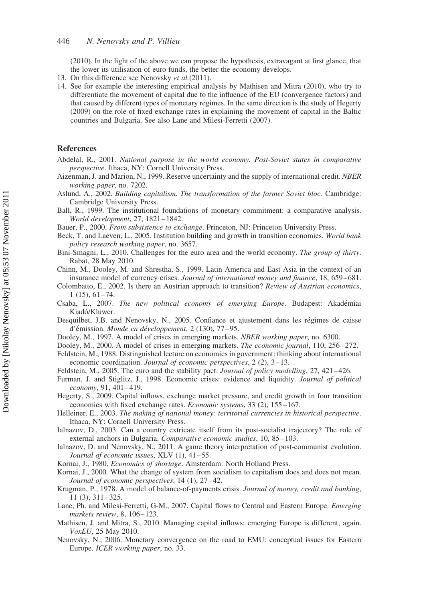(2010). In the light of the above we can propose the hypothesis, extravagant at first glance, that the lower its utilisation of euro funds, the better the economy develops.

- 13. On this difference see Nenovsky et al.(2011).
- 14. See for example the interesting empirical analysis by Mathisen and Mitra (2010), who try to differentiate the movement of capital due to the influence of the EU (convergence factors) and that caused by different types of monetary regimes. In the same direction is the study of Hegerty (2009) on the role of fixed exchange rates in explaining the movement of capital in the Baltic countries and Bulgaria. See also Lane and Milesi-Ferretti (2007).

#### **References**

- Abdelal, R., 2001. National purpose in the world economy. Post-Soviet states in comparative perspective. Ithaca, NY: Cornell University Press.
- Aizenman, J. and Marion, N., 1999. Reserve uncertainty and the supply of international credit. *NBER* working paper, no. 7202.
- Aslund, A., 2002. Building capitalism. The transformation of the former Soviet bloc. Cambridge: Cambridge University Press.
- Ball, R., 1999. The institutional foundations of monetary commitment: a comparative analysis. World development, 27, 1821– 1842.
- Bauer, P., 2000. From subsistence to exchange. Princeton, NJ: Princeton University Press.
- Beck, T. and Laeven, L., 2005. Institution building and growth in transition economies. World bank policy research working paper, no. 3657.
- Bini-Smagni, L., 2010. Challenges for the euro area and the world economy. The group of thirty. Rabat, 28 May 2010.
- Chinn, M., Dooley, M. and Shrestha, S., 1999. Latin America and East Asia in the context of an insurance model of currency crises. Journal of international money and finance, 18, 659–681.
- Colombatto, E., 2002. Is there an Austrian approach to transition? Review of Austrian economics,  $1(15)$ ,  $61-74$ .
- Csaba, L., 2007. The new political economy of emerging Europe. Budapest: Akadémiai Kiadó/Kluwer.
- Desquilbet, J.B. and Nenovsky, N., 2005. Confiance et ajustement dans les régimes de caisse d'émission. Monde en développement, 2 (130), 77-95.
- Dooley, M., 1997. A model of crises in emerging markets. NBER working paper, no. 6300.
- Dooley, M., 2000. A model of crises in emerging markets. The economic journal, 110, 256–272.
- Feldstein, M., 1988. Distinguished lecture on economics in government: thinking about international economic coordination. Journal of economic perspectives, 2 (2), 3-13.
- Feldstein, M., 2005. The euro and the stability pact. Journal of policy modelling, 27, 421– 426.
- Furman, J. and Stiglitz, J., 1998. Economic crises: evidence and liquidity. Journal of political economy, 91, 401-419.
- Hegerty, S., 2009. Capital inflows, exchange market pressure, and credit growth in four transition economies with fixed exchange rates. Economic systems, 33 (2), 155– 167.
- Helleiner, E., 2003. The making of national money: territorial currencies in historical perspective. Ithaca, NY: Cornell University Press.
- Ialnazov, D., 2003. Can a country extricate itself from its post-socialist trajectory? The role of external anchors in Bulgaria. Comparative economic studies, 10, 85-103.
- Ialnazov, D. and Nenovsky, N., 2011. A game theory interpretation of post-communist evolution. Journal of economic issues, XLV (1), 41-55.
- Kornai, J., 1980. Economics of shortage. Amsterdam: North Holland Press.
- Kornai, J., 2000. What the change of system from socialism to capitalism does and does not mean. Journal of economic perspectives, 14 (1), 27-42.
- Krugman, P., 1978. A model of balance-of-payments crisis. Journal of money, credit and banking, 11 (3), 311– 325.
- Lane, Ph. and Milesi-Ferretti, G-M., 2007. Capital flows to Central and Eastern Europe. Emerging markets review, 8, 106–123.
- Mathisen, J. and Mitra, S., 2010. Managing capital inflows: emerging Europe is different, again. VoxEU, 25 May 2010.
- Nenovsky, N., 2006. Monetary convergence on the road to EMU: conceptual issues for Eastern Europe. ICER working paper, no. 33.